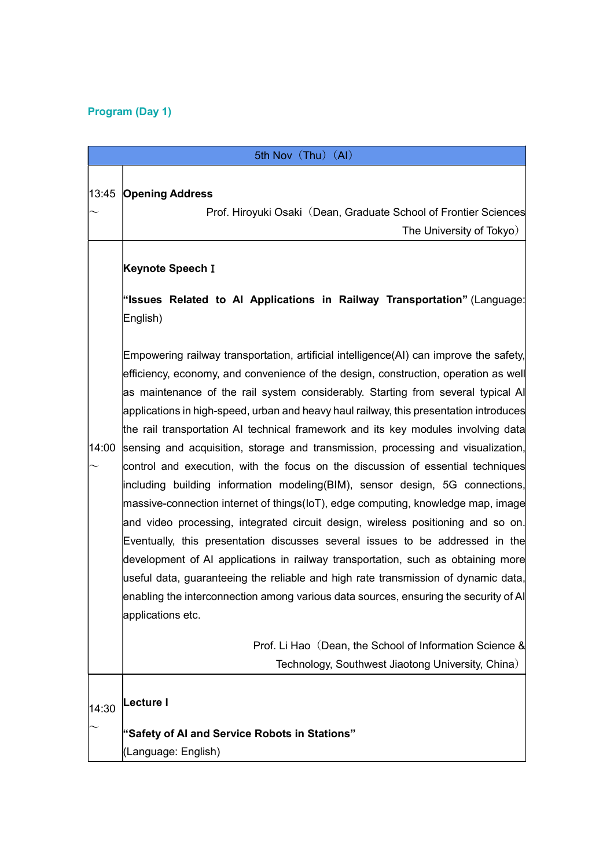# Program (Day 1)

| 5th Nov (Thu) (AI) |                                                                                                                                                                                                                                                                                                                                                                                                                                                                                                                                                                                                                                                                                                                                                                                                                                                                                                                                                                                                                                                                                                                                                                                                                                                         |
|--------------------|---------------------------------------------------------------------------------------------------------------------------------------------------------------------------------------------------------------------------------------------------------------------------------------------------------------------------------------------------------------------------------------------------------------------------------------------------------------------------------------------------------------------------------------------------------------------------------------------------------------------------------------------------------------------------------------------------------------------------------------------------------------------------------------------------------------------------------------------------------------------------------------------------------------------------------------------------------------------------------------------------------------------------------------------------------------------------------------------------------------------------------------------------------------------------------------------------------------------------------------------------------|
| 13:45              | <b>Opening Address</b><br>Prof. Hiroyuki Osaki (Dean, Graduate School of Frontier Sciences<br>The University of Tokyo)                                                                                                                                                                                                                                                                                                                                                                                                                                                                                                                                                                                                                                                                                                                                                                                                                                                                                                                                                                                                                                                                                                                                  |
|                    | Keynote Speech I<br>"Issues Related to Al Applications in Railway Transportation" (Language:<br>English)                                                                                                                                                                                                                                                                                                                                                                                                                                                                                                                                                                                                                                                                                                                                                                                                                                                                                                                                                                                                                                                                                                                                                |
| 14:00              | Empowering railway transportation, artificial intelligence(AI) can improve the safety,<br>efficiency, economy, and convenience of the design, construction, operation as well<br>as maintenance of the rail system considerably. Starting from several typical Al<br>applications in high-speed, urban and heavy haul railway, this presentation introduces<br>the rail transportation AI technical framework and its key modules involving data<br>sensing and acquisition, storage and transmission, processing and visualization,<br>control and execution, with the focus on the discussion of essential techniques<br>including building information modeling(BIM), sensor design, 5G connections,<br>massive-connection internet of things(IoT), edge computing, knowledge map, image<br>and video processing, integrated circuit design, wireless positioning and so on.<br>Eventually, this presentation discusses several issues to be addressed in the<br>development of AI applications in railway transportation, such as obtaining more<br>useful data, guaranteeing the reliable and high rate transmission of dynamic data,<br>enabling the interconnection among various data sources, ensuring the security of Al<br>applications etc. |
|                    | Prof. Li Hao (Dean, the School of Information Science &<br>Technology, Southwest Jiaotong University, China)                                                                                                                                                                                                                                                                                                                                                                                                                                                                                                                                                                                                                                                                                                                                                                                                                                                                                                                                                                                                                                                                                                                                            |
| 14:30              | Lecture I                                                                                                                                                                                                                                                                                                                                                                                                                                                                                                                                                                                                                                                                                                                                                                                                                                                                                                                                                                                                                                                                                                                                                                                                                                               |
|                    | "Safety of AI and Service Robots in Stations"                                                                                                                                                                                                                                                                                                                                                                                                                                                                                                                                                                                                                                                                                                                                                                                                                                                                                                                                                                                                                                                                                                                                                                                                           |
|                    | (Language: English)                                                                                                                                                                                                                                                                                                                                                                                                                                                                                                                                                                                                                                                                                                                                                                                                                                                                                                                                                                                                                                                                                                                                                                                                                                     |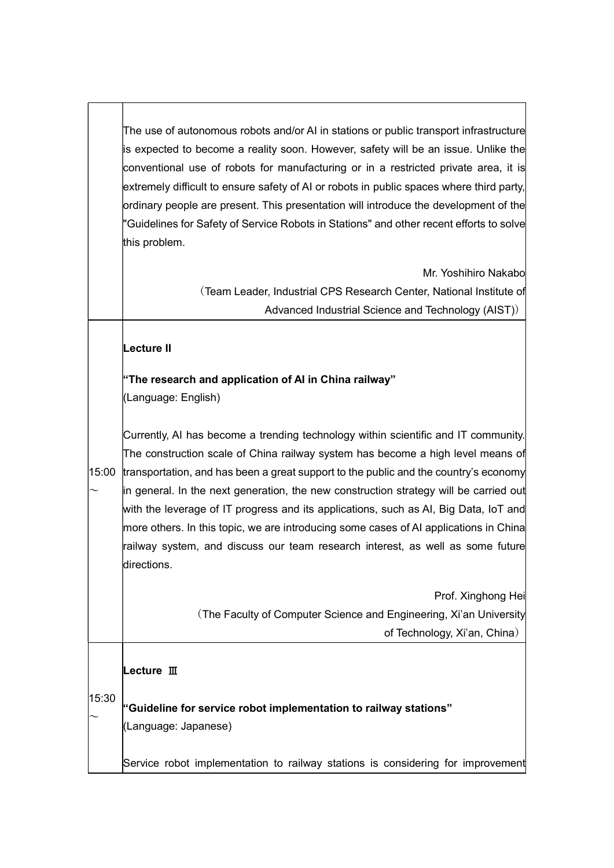|       | The use of autonomous robots and/or AI in stations or public transport infrastructure                    |
|-------|----------------------------------------------------------------------------------------------------------|
|       | is expected to become a reality soon. However, safety will be an issue. Unlike the                       |
|       | conventional use of robots for manufacturing or in a restricted private area, it is                      |
|       | extremely difficult to ensure safety of AI or robots in public spaces where third party,                 |
|       | ordinary people are present. This presentation will introduce the development of the                     |
|       | "Guidelines for Safety of Service Robots in Stations" and other recent efforts to solve<br>this problem. |
|       |                                                                                                          |
|       | Mr. Yoshihiro Nakabo                                                                                     |
|       | (Team Leader, Industrial CPS Research Center, National Institute of                                      |
|       | Advanced Industrial Science and Technology (AIST))                                                       |
|       |                                                                                                          |
|       | Lecture II                                                                                               |
|       | "The research and application of AI in China railway"                                                    |
|       | (Language: English)                                                                                      |
|       |                                                                                                          |
|       | Currently, AI has become a trending technology within scientific and IT community.                       |
|       | The construction scale of China railway system has become a high level means of                          |
| 15:00 | transportation, and has been a great support to the public and the country's economy                     |
|       | in general. In the next generation, the new construction strategy will be carried out                    |
|       | with the leverage of IT progress and its applications, such as AI, Big Data, IoT and                     |
|       | more others. In this topic, we are introducing some cases of AI applications in China                    |
|       | railway system, and discuss our team research interest, as well as some future                           |
|       | directions.                                                                                              |
|       | Prof. Xinghong Hei                                                                                       |
|       | (The Faculty of Computer Science and Engineering, Xi'an University                                       |
|       | of Technology, Xi'an, China)                                                                             |
|       |                                                                                                          |
|       | Lecture III                                                                                              |
|       |                                                                                                          |
| 15:30 | "Guideline for service robot implementation to railway stations"                                         |
|       | (Language: Japanese)                                                                                     |
|       |                                                                                                          |
|       | Service robot implementation to railway stations is considering for improvement                          |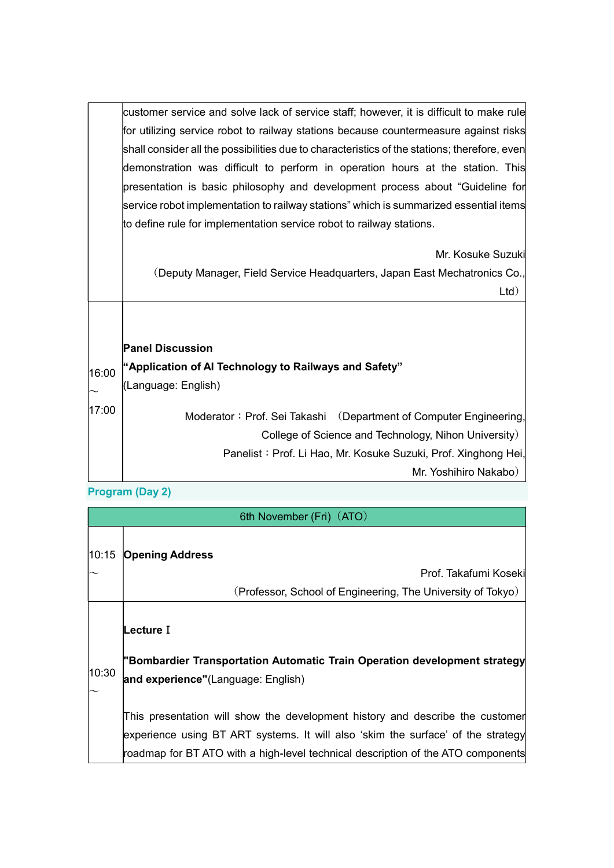|       | customer service and solve lack of service staff; however, it is difficult to make rule      |
|-------|----------------------------------------------------------------------------------------------|
|       | for utilizing service robot to railway stations because countermeasure against risks         |
|       | shall consider all the possibilities due to characteristics of the stations; therefore, even |
|       | demonstration was difficult to perform in operation hours at the station. This               |
|       | presentation is basic philosophy and development process about "Guideline for                |
|       | service robot implementation to railway stations" which is summarized essential items        |
|       | to define rule for implementation service robot to railway stations.                         |
|       |                                                                                              |
|       | Mr. Kosuke Suzuki                                                                            |
|       | (Deputy Manager, Field Service Headquarters, Japan East Mechatronics Co.,                    |
|       | Ltd)                                                                                         |
|       |                                                                                              |
|       |                                                                                              |
|       | <b>Panel Discussion</b>                                                                      |
| 16:00 | "Application of Al Technology to Railways and Safety"                                        |
|       | (Language: English)                                                                          |
| 17:00 | Moderator: Prof. Sei Takashi<br>(Department of Computer Engineering,                         |
|       | College of Science and Technology, Nihon University)                                         |
|       | Panelist: Prof. Li Hao, Mr. Kosuke Suzuki, Prof. Xinghong Hei,                               |
|       | Mr. Yoshihiro Nakabo)                                                                        |
|       |                                                                                              |

### Program (Day 2)

| 6th November (Fri) (ATO) |                                                                                                                              |
|--------------------------|------------------------------------------------------------------------------------------------------------------------------|
| 10:15                    | <b>Opening Address</b>                                                                                                       |
|                          | Prof. Takafumi Kosekil                                                                                                       |
|                          | (Professor, School of Engineering, The University of Tokyo)                                                                  |
| 10:30                    | Lecture I<br>"Bombardier Transportation Automatic Train Operation development strategy<br>and experience"(Language: English) |
|                          | This presentation will show the development history and describe the customer                                                |
|                          | experience using BT ART systems. It will also 'skim the surface' of the strategy                                             |
|                          | roadmap for BT ATO with a high-level technical description of the ATO components                                             |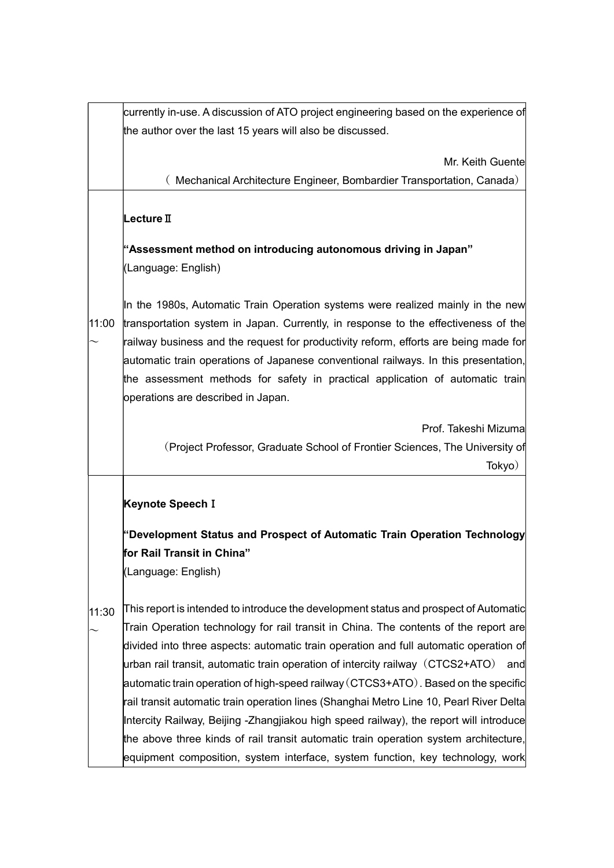|       | currently in-use. A discussion of ATO project engineering based on the experience of    |
|-------|-----------------------------------------------------------------------------------------|
|       | the author over the last 15 years will also be discussed.                               |
|       | Mr. Keith Guente                                                                        |
|       | (Mechanical Architecture Engineer, Bombardier Transportation, Canada)                   |
|       |                                                                                         |
|       | Lecture II                                                                              |
|       | "Assessment method on introducing autonomous driving in Japan"                          |
|       | (Language: English)                                                                     |
|       |                                                                                         |
|       | In the 1980s, Automatic Train Operation systems were realized mainly in the new         |
| 11:00 | transportation system in Japan. Currently, in response to the effectiveness of the      |
|       | railway business and the request for productivity reform, efforts are being made for    |
|       | automatic train operations of Japanese conventional railways. In this presentation,     |
|       | the assessment methods for safety in practical application of automatic train           |
|       | operations are described in Japan.                                                      |
|       | Prof. Takeshi Mizuma                                                                    |
|       | (Project Professor, Graduate School of Frontier Sciences, The University of             |
|       | Tokyo)                                                                                  |
|       |                                                                                         |
|       | <b>Keynote Speech I</b>                                                                 |
|       | "Development Status and Prospect of Automatic Train Operation Technology                |
|       | for Rail Transit in China"                                                              |
|       | (Language: English)                                                                     |
| 11:30 | This report is intended to introduce the development status and prospect of Automatic   |
|       | Train Operation technology for rail transit in China. The contents of the report are    |
|       | divided into three aspects: automatic train operation and full automatic operation of   |
|       | urban rail transit, automatic train operation of intercity railway $(CTCS2+ATO)$<br>and |
|       | automatic train operation of high-speed railway (CTCS3+ATO) . Based on the specific     |
|       | rail transit automatic train operation lines (Shanghai Metro Line 10, Pearl River Delta |
|       | Intercity Railway, Beijing -Zhangjiakou high speed railway), the report will introduce  |
|       | the above three kinds of rail transit automatic train operation system architecture,    |
|       | equipment composition, system interface, system function, key technology, work          |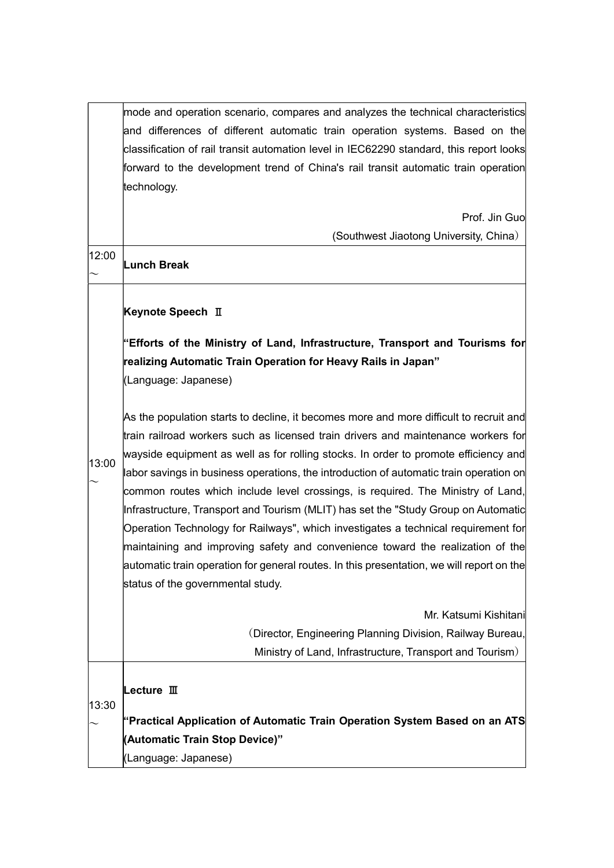|       | mode and operation scenario, compares and analyzes the technical characteristics          |
|-------|-------------------------------------------------------------------------------------------|
|       | and differences of different automatic train operation systems. Based on the              |
|       | classification of rail transit automation level in IEC62290 standard, this report looks   |
|       | forward to the development trend of China's rail transit automatic train operation        |
|       | technology.                                                                               |
|       |                                                                                           |
|       | Prof. Jin Guo                                                                             |
|       | (Southwest Jiaotong University, China)                                                    |
| 12:00 | <b>Lunch Break</b>                                                                        |
|       |                                                                                           |
|       | Keynote Speech II                                                                         |
|       | "Efforts of the Ministry of Land, Infrastructure, Transport and Tourisms for              |
|       | realizing Automatic Train Operation for Heavy Rails in Japan"                             |
|       | (Language: Japanese)                                                                      |
|       |                                                                                           |
|       | As the population starts to decline, it becomes more and more difficult to recruit and    |
|       | train railroad workers such as licensed train drivers and maintenance workers for         |
|       | wayside equipment as well as for rolling stocks. In order to promote efficiency and       |
| 13:00 | abor savings in business operations, the introduction of automatic train operation on     |
|       | common routes which include level crossings, is required. The Ministry of Land,           |
|       | Infrastructure, Transport and Tourism (MLIT) has set the "Study Group on Automatic        |
|       | Operation Technology for Railways", which investigates a technical requirement for        |
|       | maintaining and improving safety and convenience toward the realization of the            |
|       | automatic train operation for general routes. In this presentation, we will report on the |
|       | status of the governmental study.                                                         |
|       | Mr. Katsumi Kishitani                                                                     |
|       | (Director, Engineering Planning Division, Railway Bureau,                                 |
|       | Ministry of Land, Infrastructure, Transport and Tourism)                                  |
|       |                                                                                           |
|       | Lecture III                                                                               |
| 13:30 |                                                                                           |
|       | "Practical Application of Automatic Train Operation System Based on an ATS                |
|       | (Automatic Train Stop Device)"                                                            |
|       | (Language: Japanese)                                                                      |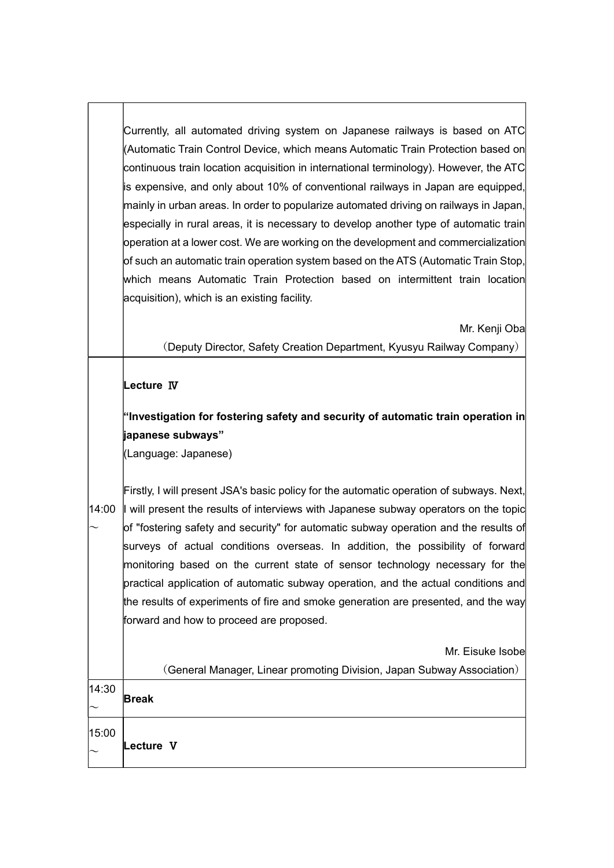|       | Currently, all automated driving system on Japanese railways is based on ATC<br>(Automatic Train Control Device, which means Automatic Train Protection based on<br>continuous train location acquisition in international terminology). However, the ATC<br>is expensive, and only about 10% of conventional railways in Japan are equipped,<br>mainly in urban areas. In order to popularize automated driving on railways in Japan,<br>especially in rural areas, it is necessary to develop another type of automatic train<br>operation at a lower cost. We are working on the development and commercialization                                               |
|-------|---------------------------------------------------------------------------------------------------------------------------------------------------------------------------------------------------------------------------------------------------------------------------------------------------------------------------------------------------------------------------------------------------------------------------------------------------------------------------------------------------------------------------------------------------------------------------------------------------------------------------------------------------------------------|
|       | of such an automatic train operation system based on the ATS (Automatic Train Stop,<br>which means Automatic Train Protection based on intermittent train location                                                                                                                                                                                                                                                                                                                                                                                                                                                                                                  |
|       | acquisition), which is an existing facility.                                                                                                                                                                                                                                                                                                                                                                                                                                                                                                                                                                                                                        |
|       | Mr. Kenji Oba                                                                                                                                                                                                                                                                                                                                                                                                                                                                                                                                                                                                                                                       |
|       | (Deputy Director, Safety Creation Department, Kyusyu Railway Company)                                                                                                                                                                                                                                                                                                                                                                                                                                                                                                                                                                                               |
|       | Lecture IV                                                                                                                                                                                                                                                                                                                                                                                                                                                                                                                                                                                                                                                          |
|       | "Investigation for fostering safety and security of automatic train operation in                                                                                                                                                                                                                                                                                                                                                                                                                                                                                                                                                                                    |
|       | japanese subways"                                                                                                                                                                                                                                                                                                                                                                                                                                                                                                                                                                                                                                                   |
|       | (Language: Japanese)                                                                                                                                                                                                                                                                                                                                                                                                                                                                                                                                                                                                                                                |
| 14:00 | Firstly, I will present JSA's basic policy for the automatic operation of subways. Next,<br>   will present the results of interviews with Japanese subway operators on the topic<br>of "fostering safety and security" for automatic subway operation and the results of<br>surveys of actual conditions overseas. In addition, the possibility of forward<br>monitoring based on the current state of sensor technology necessary for the<br>practical application of automatic subway operation, and the actual conditions and<br>the results of experiments of fire and smoke generation are presented, and the way<br>forward and how to proceed are proposed. |
|       | Mr. Eisuke Isobe                                                                                                                                                                                                                                                                                                                                                                                                                                                                                                                                                                                                                                                    |
|       | (General Manager, Linear promoting Division, Japan Subway Association)                                                                                                                                                                                                                                                                                                                                                                                                                                                                                                                                                                                              |
| 14:30 | <b>Break</b>                                                                                                                                                                                                                                                                                                                                                                                                                                                                                                                                                                                                                                                        |
| 15:00 | Lecture V                                                                                                                                                                                                                                                                                                                                                                                                                                                                                                                                                                                                                                                           |

 $\perp$ 

 $\overline{\phantom{a}}$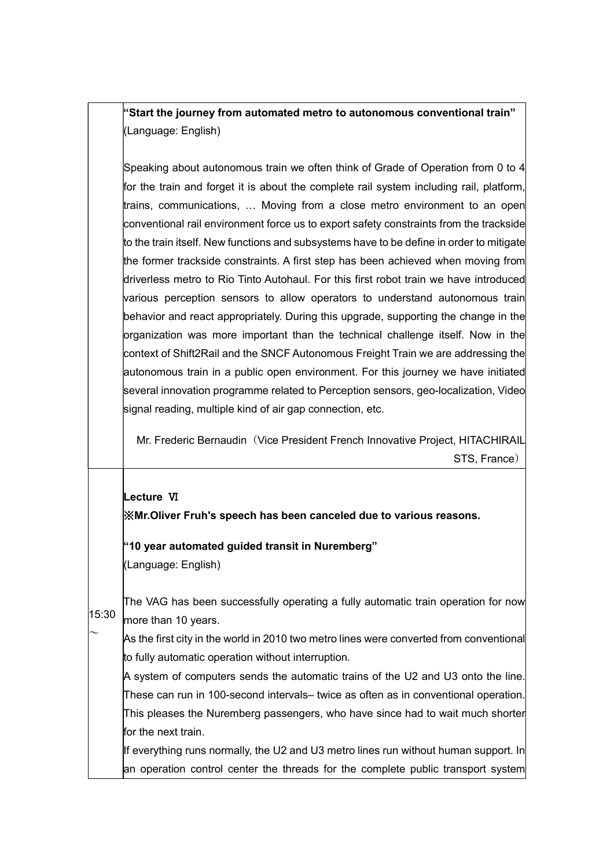"Start the journey from automated metro to autonomous conventional train" (Language: English)

Speaking about autonomous train we often think of Grade of Operation from 0 to 4 for the train and forget it is about the complete rail system including rail, platform, trains, communications, … Moving from a close metro environment to an open conventional rail environment force us to export safety constraints from the trackside to the train itself. New functions and subsystems have to be define in order to mitigate the former trackside constraints. A first step has been achieved when moving from driverless metro to Rio Tinto Autohaul. For this first robot train we have introduced various perception sensors to allow operators to understand autonomous train behavior and react appropriately. During this upgrade, supporting the change in the organization was more important than the technical challenge itself. Now in the context of Shift2Rail and the SNCF Autonomous Freight Train we are addressing the autonomous train in a public open environment. For this journey we have initiated several innovation programme related to Perception sensors, geo-localization, Video signal reading, multiple kind of air gap connection, etc.

Mr. Frederic Bernaudin(Vice President French Innovative Project, HITACHIRAIL STS, France)

### Lecture Ⅵ

 $\sim$ 

※Mr.Oliver Fruh's speech has been canceled due to various reasons.

"10 year automated guided transit in Nuremberg"

(Language: English)

15:30 The VAG has been successfully operating a fully automatic train operation for now more than 10 years.

As the first city in the world in 2010 two metro lines were converted from conventional to fully automatic operation without interruption.

A system of computers sends the automatic trains of the U2 and U3 onto the line. These can run in 100-second intervals– twice as often as in conventional operation. This pleases the Nuremberg passengers, who have since had to wait much shorter for the next train.

If everything runs normally, the U2 and U3 metro lines run without human support. In an operation control center the threads for the complete public transport system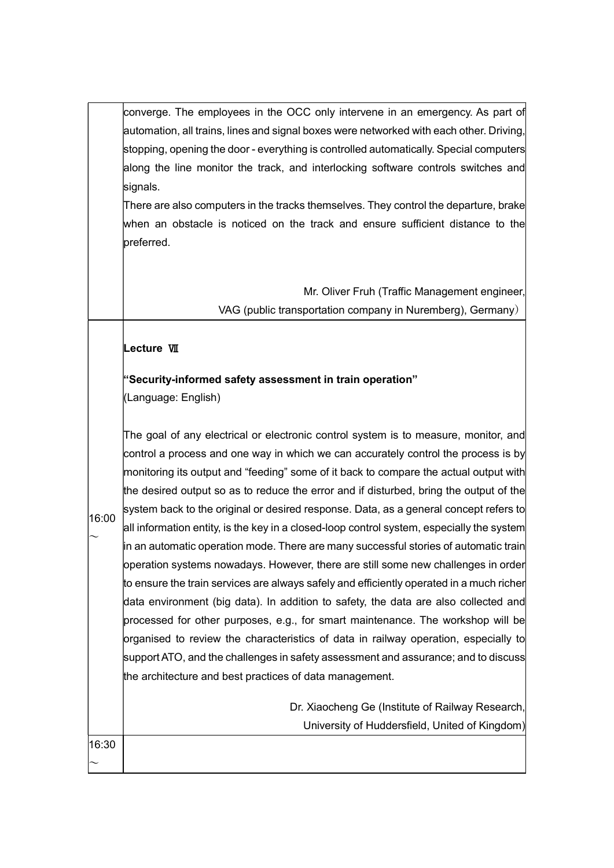| converge. The employees in the OCC only intervene in an emergency. As part of                    |
|--------------------------------------------------------------------------------------------------|
| automation, all trains, lines and signal boxes were networked with each other. Driving,          |
| $\,$ stopping, opening the door - everything is controlled automatically. Special computers $\,$ |
| along the line monitor the track, and interlocking software controls switches and                |
| signals.                                                                                         |

There are also computers in the tracks themselves. They control the departure, brake when an obstacle is noticed on the track and ensure sufficient distance to the preferred.

> Mr. Oliver Fruh (Traffic Management engineer, VAG (public transportation company in Nuremberg), Germany)

#### Lecture Ⅶ

 $\sim$ 

16:30

 $\sim$ 

## "Security-informed safety assessment in train operation"

(Language: English)

16:00 The goal of any electrical or electronic control system is to measure, monitor, and control a process and one way in which we can accurately control the process is by monitoring its output and "feeding" some of it back to compare the actual output with the desired output so as to reduce the error and if disturbed, bring the output of the system back to the original or desired response. Data, as a general concept refers to all information entity, is the key in a closed-loop control system, especially the system in an automatic operation mode. There are many successful stories of automatic train operation systems nowadays. However, there are still some new challenges in order to ensure the train services are always safely and efficiently operated in a much richer data environment (big data). In addition to safety, the data are also collected and processed for other purposes, e.g., for smart maintenance. The workshop will be organised to review the characteristics of data in railway operation, especially to support ATO, and the challenges in safety assessment and assurance; and to discuss the architecture and best practices of data management.

> Dr. Xiaocheng Ge (Institute of Railway Research, University of Huddersfield, United of Kingdom)